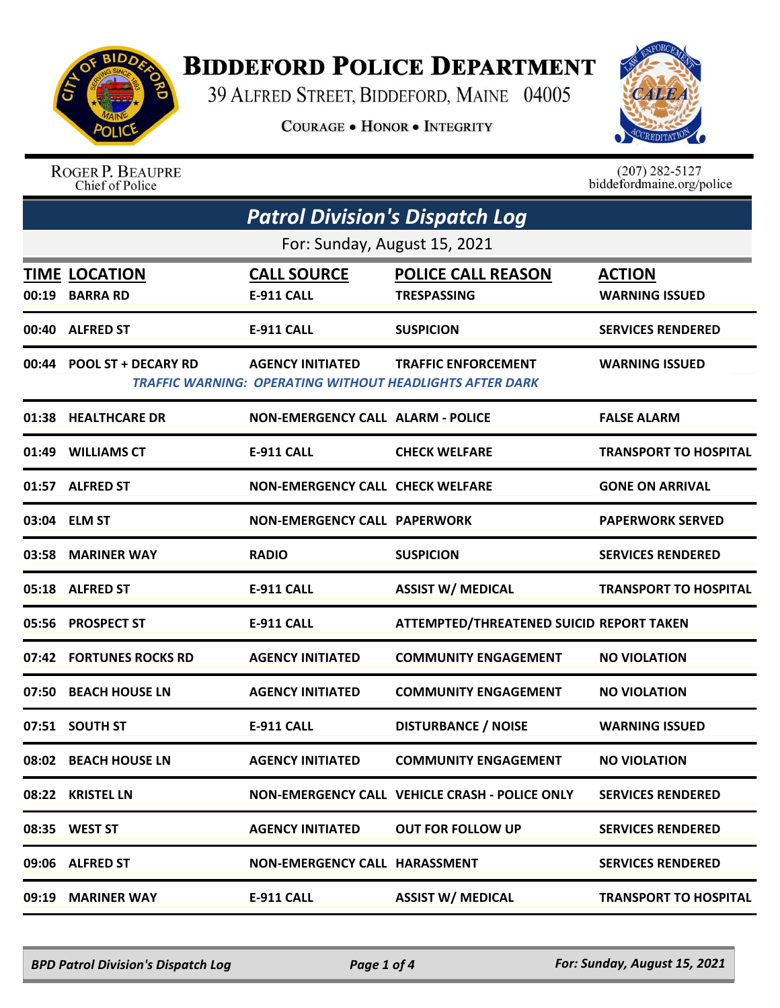

## **BIDDEFORD POLICE DEPARTMENT**

39 ALFRED STREET, BIDDEFORD, MAINE 04005

**COURAGE . HONOR . INTEGRITY** 



| <b>ROGER P. BEAUPRE</b> |
|-------------------------|
| Chief of Police         |

 $(207)$  282-5127<br>biddefordmaine.org/police

| <b>Patrol Division's Dispatch Log</b>  |                                          |                                                                                               |                                        |  |
|----------------------------------------|------------------------------------------|-----------------------------------------------------------------------------------------------|----------------------------------------|--|
|                                        | For: Sunday, August 15, 2021             |                                                                                               |                                        |  |
| <b>TIME LOCATION</b><br>00:19 BARRA RD | <b>CALL SOURCE</b><br><b>E-911 CALL</b>  | <b>POLICE CALL REASON</b><br><b>TRESPASSING</b>                                               | <b>ACTION</b><br><b>WARNING ISSUED</b> |  |
| 00:40 ALFRED ST                        | <b>E-911 CALL</b>                        | <b>SUSPICION</b>                                                                              | <b>SERVICES RENDERED</b>               |  |
| 00:44 POOL ST + DECARY RD              | <b>AGENCY INITIATED</b>                  | <b>TRAFFIC ENFORCEMENT</b><br><b>TRAFFIC WARNING: OPERATING WITHOUT HEADLIGHTS AFTER DARK</b> | <b>WARNING ISSUED</b>                  |  |
| 01:38 HEALTHCARE DR                    | <b>NON-EMERGENCY CALL ALARM - POLICE</b> |                                                                                               | <b>FALSE ALARM</b>                     |  |
| 01:49 WILLIAMS CT                      | <b>E-911 CALL</b>                        | <b>CHECK WELFARE</b>                                                                          | <b>TRANSPORT TO HOSPITAL</b>           |  |
| 01:57 ALFRED ST                        | <b>NON-EMERGENCY CALL CHECK WELFARE</b>  |                                                                                               | <b>GONE ON ARRIVAL</b>                 |  |
| 03:04 ELM ST                           | <b>NON-EMERGENCY CALL PAPERWORK</b>      |                                                                                               | <b>PAPERWORK SERVED</b>                |  |
| 03:58 MARINER WAY                      | <b>RADIO</b>                             | <b>SUSPICION</b>                                                                              | <b>SERVICES RENDERED</b>               |  |
| 05:18 ALFRED ST                        | <b>E-911 CALL</b>                        | <b>ASSIST W/ MEDICAL</b>                                                                      | <b>TRANSPORT TO HOSPITAL</b>           |  |
| 05:56 PROSPECT ST                      | <b>E-911 CALL</b>                        | ATTEMPTED/THREATENED SUICID REPORT TAKEN                                                      |                                        |  |
| 07:42 FORTUNES ROCKS RD                | <b>AGENCY INITIATED</b>                  | <b>COMMUNITY ENGAGEMENT</b>                                                                   | <b>NO VIOLATION</b>                    |  |
| 07:50 BEACH HOUSE LN                   | <b>AGENCY INITIATED</b>                  | <b>COMMUNITY ENGAGEMENT</b>                                                                   | <b>NO VIOLATION</b>                    |  |
| 07:51 SOUTH ST                         | <b>E-911 CALL</b>                        | <b>DISTURBANCE / NOISE</b>                                                                    | <b>WARNING ISSUED</b>                  |  |
| 08:02 BEACH HOUSE LN                   | <b>AGENCY INITIATED</b>                  | <b>COMMUNITY ENGAGEMENT</b>                                                                   | <b>NO VIOLATION</b>                    |  |
| 08:22 KRISTEL LN                       |                                          | NON-EMERGENCY CALL VEHICLE CRASH - POLICE ONLY                                                | <b>SERVICES RENDERED</b>               |  |
| 08:35 WEST ST                          | <b>AGENCY INITIATED</b>                  | <b>OUT FOR FOLLOW UP</b>                                                                      | <b>SERVICES RENDERED</b>               |  |
| 09:06 ALFRED ST                        | <b>NON-EMERGENCY CALL HARASSMENT</b>     |                                                                                               | <b>SERVICES RENDERED</b>               |  |
| 09:19 MARINER WAY                      | <b>E-911 CALL</b>                        | <b>ASSIST W/ MEDICAL</b>                                                                      | <b>TRANSPORT TO HOSPITAL</b>           |  |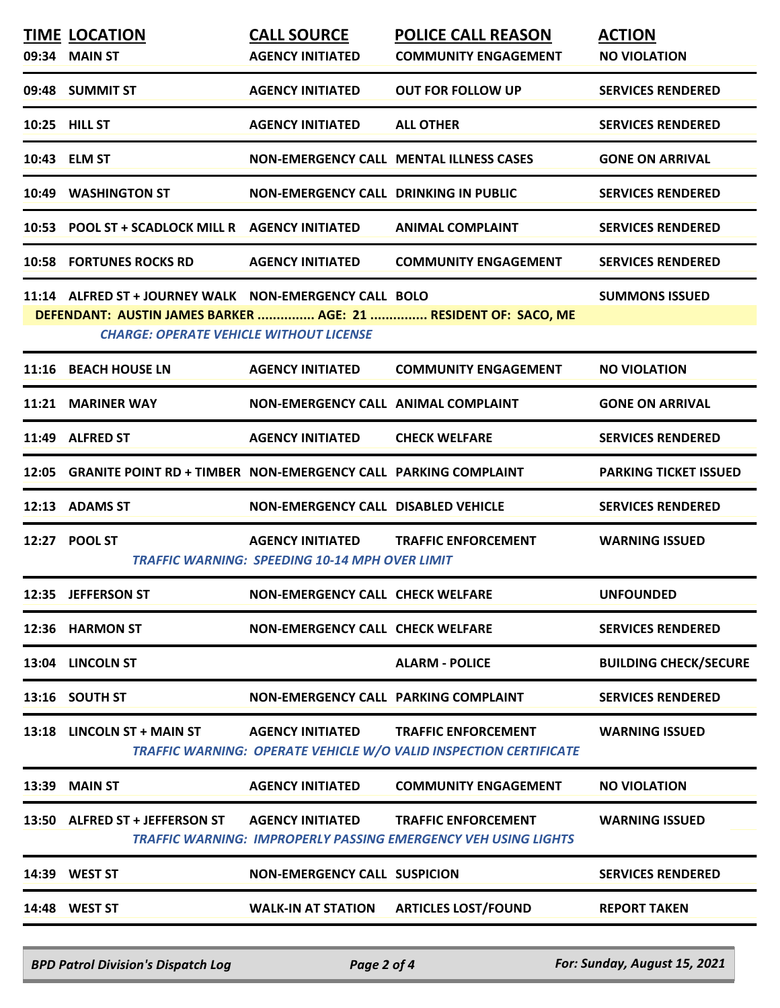|       | <b>TIME LOCATION</b>                                                                                     | <b>CALL SOURCE</b>                                    | <b>POLICE CALL REASON</b>                                                                           | <b>ACTION</b>                |
|-------|----------------------------------------------------------------------------------------------------------|-------------------------------------------------------|-----------------------------------------------------------------------------------------------------|------------------------------|
|       | 09:34 MAIN ST                                                                                            | <b>AGENCY INITIATED</b>                               | <b>COMMUNITY ENGAGEMENT</b>                                                                         | <b>NO VIOLATION</b>          |
|       | 09:48 SUMMIT ST                                                                                          | <b>AGENCY INITIATED</b>                               | <b>OUT FOR FOLLOW UP</b>                                                                            | <b>SERVICES RENDERED</b>     |
|       | 10:25 HILL ST                                                                                            | <b>AGENCY INITIATED</b>                               | <b>ALL OTHER</b>                                                                                    | <b>SERVICES RENDERED</b>     |
|       | 10:43 ELM ST                                                                                             |                                                       | <b>NON-EMERGENCY CALL MENTAL ILLNESS CASES</b>                                                      | <b>GONE ON ARRIVAL</b>       |
|       | 10:49 WASHINGTON ST                                                                                      | <b>NON-EMERGENCY CALL DRINKING IN PUBLIC</b>          |                                                                                                     | <b>SERVICES RENDERED</b>     |
|       | 10:53 POOL ST + SCADLOCK MILL R AGENCY INITIATED                                                         |                                                       | <b>ANIMAL COMPLAINT</b>                                                                             | <b>SERVICES RENDERED</b>     |
|       | <b>10:58 FORTUNES ROCKS RD</b>                                                                           | <b>AGENCY INITIATED</b>                               | <b>COMMUNITY ENGAGEMENT</b>                                                                         | <b>SERVICES RENDERED</b>     |
|       | 11:14 ALFRED ST + JOURNEY WALK NON-EMERGENCY CALL BOLO<br><b>CHARGE: OPERATE VEHICLE WITHOUT LICENSE</b> |                                                       | DEFENDANT: AUSTIN JAMES BARKER  AGE: 21  RESIDENT OF: SACO, ME                                      | <b>SUMMONS ISSUED</b>        |
|       | 11:16 BEACH HOUSE LN                                                                                     | <b>AGENCY INITIATED</b>                               | <b>COMMUNITY ENGAGEMENT</b>                                                                         | <b>NO VIOLATION</b>          |
|       | 11:21 MARINER WAY                                                                                        | NON-EMERGENCY CALL ANIMAL COMPLAINT                   |                                                                                                     | <b>GONE ON ARRIVAL</b>       |
|       | 11:49 ALFRED ST                                                                                          | <b>AGENCY INITIATED</b>                               | <b>CHECK WELFARE</b>                                                                                | <b>SERVICES RENDERED</b>     |
|       | 12:05 GRANITE POINT RD + TIMBER NON-EMERGENCY CALL PARKING COMPLAINT                                     |                                                       |                                                                                                     | <b>PARKING TICKET ISSUED</b> |
|       | 12:13 ADAMS ST                                                                                           | NON-EMERGENCY CALL DISABLED VEHICLE                   |                                                                                                     | <b>SERVICES RENDERED</b>     |
|       | 12:27 POOL ST                                                                                            | <b>TRAFFIC WARNING: SPEEDING 10-14 MPH OVER LIMIT</b> | AGENCY INITIATED TRAFFIC ENFORCEMENT                                                                | <b>WARNING ISSUED</b>        |
|       | 12:35 JEFFERSON ST                                                                                       | NON-EMERGENCY CALL CHECK WELFARE                      |                                                                                                     | <b>UNFOUNDED</b>             |
|       | 12:36 HARMON ST                                                                                          | <b>NON-EMERGENCY CALL CHECK WELFARE</b>               |                                                                                                     | <b>SERVICES RENDERED</b>     |
|       | 13:04 LINCOLN ST                                                                                         |                                                       | <b>ALARM - POLICE</b>                                                                               | <b>BUILDING CHECK/SECURE</b> |
|       | 13:16 SOUTH ST                                                                                           | NON-EMERGENCY CALL PARKING COMPLAINT                  |                                                                                                     | <b>SERVICES RENDERED</b>     |
|       | 13:18 LINCOLN ST + MAIN ST                                                                               | <b>AGENCY INITIATED</b>                               | <b>TRAFFIC ENFORCEMENT</b><br>TRAFFIC WARNING: OPERATE VEHICLE W/O VALID INSPECTION CERTIFICATE     | <b>WARNING ISSUED</b>        |
|       | 13:39 MAIN ST                                                                                            | <b>AGENCY INITIATED</b>                               | <b>COMMUNITY ENGAGEMENT</b>                                                                         | <b>NO VIOLATION</b>          |
|       | 13:50 ALFRED ST + JEFFERSON ST                                                                           | <b>AGENCY INITIATED</b>                               | <b>TRAFFIC ENFORCEMENT</b><br><b>TRAFFIC WARNING: IMPROPERLY PASSING EMERGENCY VEH USING LIGHTS</b> | <b>WARNING ISSUED</b>        |
| 14:39 | <b>WEST ST</b>                                                                                           | <b>NON-EMERGENCY CALL SUSPICION</b>                   |                                                                                                     | <b>SERVICES RENDERED</b>     |
|       | 14:48 WEST ST                                                                                            | <b>WALK-IN AT STATION</b>                             | <b>ARTICLES LOST/FOUND</b>                                                                          | <b>REPORT TAKEN</b>          |
|       |                                                                                                          |                                                       |                                                                                                     |                              |

*BPD Patrol Division's Dispatch Log Page 2 of 4 For: Sunday, August 15, 2021*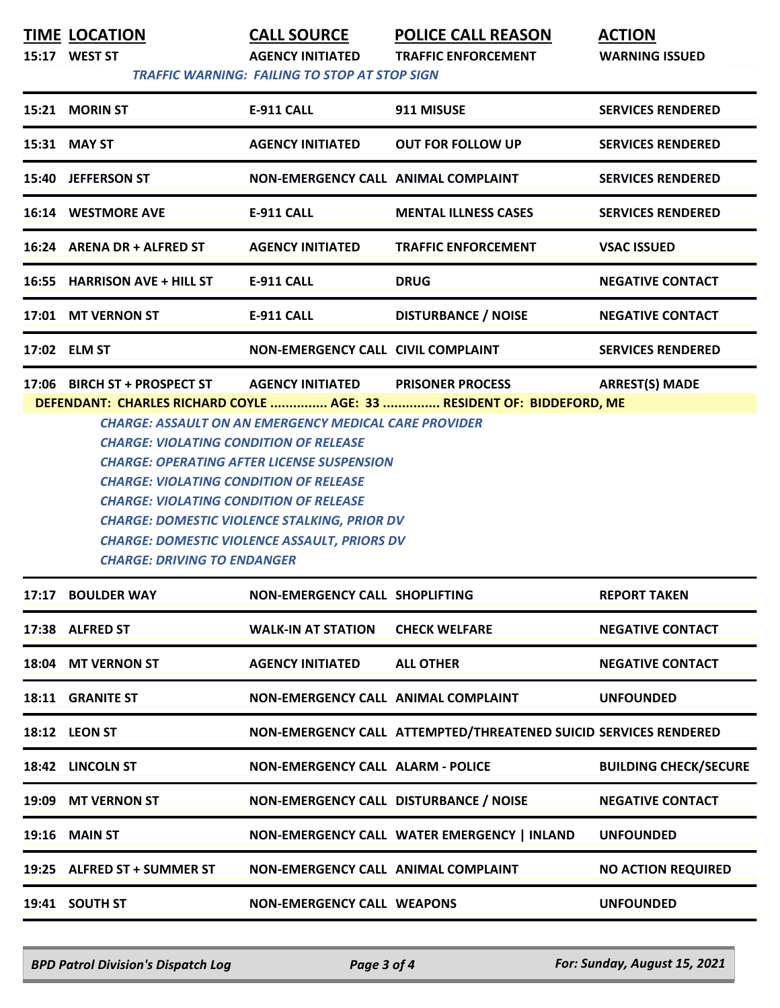**TIME LOCATION CALL SOURCE POLICE CALL REASON ACTION**

**15:17 WEST ST AGENCY INITIATED TRAFFIC ENFORCEMENT WARNING ISSUED**

 *TRAFFIC WARNING: FAILING TO STOP AT STOP SIGN* 

| <b>E-911 CALL</b><br>911 MISUSE<br><b>MORIN ST</b><br><b>SERVICES RENDERED</b><br>15:21<br>15:31 MAY ST<br><b>OUT FOR FOLLOW UP</b><br><b>AGENCY INITIATED</b><br><b>SERVICES RENDERED</b><br><b>JEFFERSON ST</b><br><b>SERVICES RENDERED</b><br><b>NON-EMERGENCY CALL ANIMAL COMPLAINT</b><br>15:40<br>16:14 WESTMORE AVE<br>E-911 CALL<br><b>MENTAL ILLNESS CASES</b><br><b>SERVICES RENDERED</b><br>16:24 ARENA DR + ALFRED ST<br><b>VSAC ISSUED</b><br><b>AGENCY INITIATED</b><br><b>TRAFFIC ENFORCEMENT</b> |  |                   |             |                         |
|------------------------------------------------------------------------------------------------------------------------------------------------------------------------------------------------------------------------------------------------------------------------------------------------------------------------------------------------------------------------------------------------------------------------------------------------------------------------------------------------------------------|--|-------------------|-------------|-------------------------|
|                                                                                                                                                                                                                                                                                                                                                                                                                                                                                                                  |  |                   |             |                         |
|                                                                                                                                                                                                                                                                                                                                                                                                                                                                                                                  |  |                   |             |                         |
|                                                                                                                                                                                                                                                                                                                                                                                                                                                                                                                  |  |                   |             |                         |
|                                                                                                                                                                                                                                                                                                                                                                                                                                                                                                                  |  |                   |             |                         |
|                                                                                                                                                                                                                                                                                                                                                                                                                                                                                                                  |  |                   |             |                         |
| 16:55 HARRISON AVE + HILL ST                                                                                                                                                                                                                                                                                                                                                                                                                                                                                     |  | <b>E-911 CALL</b> | <b>DRUG</b> | <b>NEGATIVE CONTACT</b> |
| <b>DISTURBANCE / NOISE</b><br><b>MT VERNON ST</b><br><b>E-911 CALL</b><br><b>NEGATIVE CONTACT</b><br>17:01                                                                                                                                                                                                                                                                                                                                                                                                       |  |                   |             |                         |
| <b>NON-EMERGENCY CALL CIVIL COMPLAINT</b><br><b>SERVICES RENDERED</b><br>17:02 ELM ST                                                                                                                                                                                                                                                                                                                                                                                                                            |  |                   |             |                         |

**17:06 BIRCH ST + PROSPECT ST AGENCY INITIATED PRISONER PROCESS ARREST(S) MADE DEFENDANT: CHARLES RICHARD COYLE ............... AGE: 33 ............... RESIDENT OF: BIDDEFORD, ME**

*CHARGE: ASSAULT ON AN EMERGENCY MEDICAL CARE PROVIDER CHARGE: VIOLATING CONDITION OF RELEASE CHARGE: OPERATING AFTER LICENSE SUSPENSION CHARGE: VIOLATING CONDITION OF RELEASE CHARGE: VIOLATING CONDITION OF RELEASE CHARGE: DOMESTIC VIOLENCE STALKING, PRIOR DV CHARGE: DOMESTIC VIOLENCE ASSAULT, PRIORS DV CHARGE: DRIVING TO ENDANGER* 

| 17:17 BOULDER WAY           | NON-EMERGENCY CALL SHOPLIFTING             |                                                                  | <b>REPORT TAKEN</b>          |
|-----------------------------|--------------------------------------------|------------------------------------------------------------------|------------------------------|
| 17:38 ALFRED ST             | <b>WALK-IN AT STATION</b>                  | <b>CHECK WELFARE</b>                                             | <b>NEGATIVE CONTACT</b>      |
| 18:04 MT VERNON ST          | <b>AGENCY INITIATED</b>                    | <b>ALL OTHER</b>                                                 | <b>NEGATIVE CONTACT</b>      |
| <b>18:11 GRANITE ST</b>     | <b>NON-EMERGENCY CALL ANIMAL COMPLAINT</b> |                                                                  | <b>UNFOUNDED</b>             |
| <b>18:12 LEON ST</b>        |                                            | NON-EMERGENCY CALL ATTEMPTED/THREATENED SUICID SERVICES RENDERED |                              |
| 18:42 LINCOLN ST            | <b>NON-EMERGENCY CALL ALARM - POLICE</b>   |                                                                  | <b>BUILDING CHECK/SECURE</b> |
| 19:09 MT VERNON ST          | NON-EMERGENCY CALL DISTURBANCE / NOISE     |                                                                  | <b>NEGATIVE CONTACT</b>      |
| <b>19:16 MAIN ST</b>        |                                            | NON-EMERGENCY CALL WATER EMERGENCY   INLAND                      | <b>UNFOUNDED</b>             |
| 19:25 ALFRED ST + SUMMER ST | NON-EMERGENCY CALL ANIMAL COMPLAINT        |                                                                  | <b>NO ACTION REQUIRED</b>    |
| 19:41 SOUTH ST              | <b>NON-EMERGENCY CALL WEAPONS</b>          |                                                                  | <b>UNFOUNDED</b>             |

*BPD Patrol Division's Dispatch Log Page 3 of 4 For: Sunday, August 15, 2021*